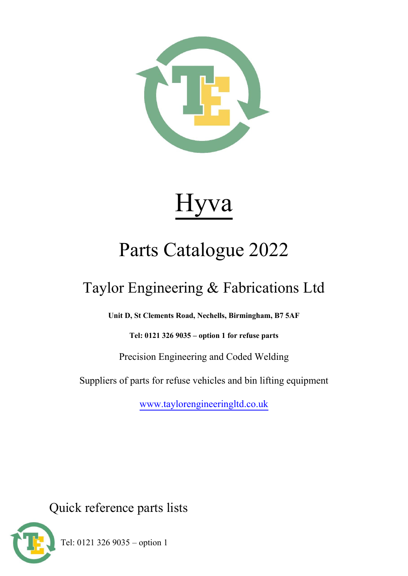

# Hyva

# Parts Catalogue 2022

## Taylor Engineering & Fabrications Ltd

**Unit D, St Clements Road, Nechells, Birmingham, B7 5AF**

**Tel: 0121 326 9035 – option 1 for refuse parts**

Precision Engineering and Coded Welding

Suppliers of parts for refuse vehicles and bin lifting equipment

[www.taylorengineeringltd.co.uk](http://www.taylorengineeringltd.co.uk/)

Quick reference parts lists



Tel: 0121 326 9035 – option 1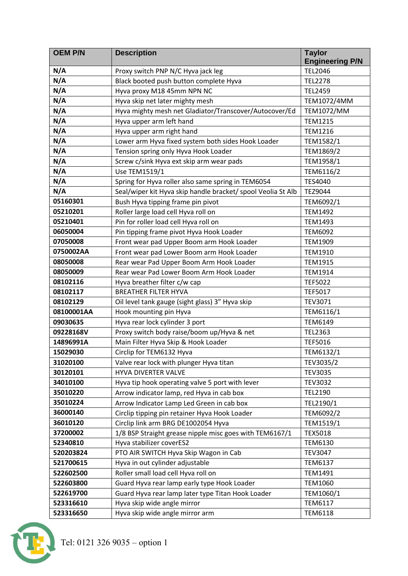| <b>OEM P/N</b> | <b>Description</b>                                           | <b>Taylor</b>          |
|----------------|--------------------------------------------------------------|------------------------|
|                |                                                              | <b>Engineering P/N</b> |
| N/A            | Proxy switch PNP N/C Hyva jack leg                           | <b>TEL2046</b>         |
| N/A            | Black booted push button complete Hyva                       | <b>TEL2278</b>         |
| N/A            | Hyva proxy M18 45mm NPN NC                                   | <b>TEL2459</b>         |
| N/A            | Hyva skip net later mighty mesh                              | TEM1072/4MM            |
| N/A            | Hyva mighty mesh net Gladiator/Transcover/Autocover/Ed       | <b>TEM1072/MM</b>      |
| N/A            | Hyva upper arm left hand                                     | <b>TEM1215</b>         |
| N/A            | Hyva upper arm right hand                                    | <b>TEM1216</b>         |
| N/A            | Lower arm Hyva fixed system both sides Hook Loader           | TEM1582/1              |
| N/A            | Tension spring only Hyva Hook Loader                         | TEM1869/2              |
| N/A            | Screw c/sink Hyva ext skip arm wear pads                     | TEM1958/1              |
| N/A            | Use TEM1519/1                                                | TEM6116/2              |
| N/A            | Spring for Hyva roller also same spring in TEM6054           | <b>TES4040</b>         |
| N/A            | Seal/wiper kit Hyva skip handle bracket/ spool Veolia St Alb | TEZ9044                |
| 05160301       | Bush Hyva tipping frame pin pivot                            | TEM6092/1              |
| 05210201       | Roller large load cell Hyva roll on                          | <b>TEM1492</b>         |
| 05210401       | Pin for roller load cell Hyva roll on                        | TEM1493                |
| 06050004       | Pin tipping frame pivot Hyva Hook Loader                     | <b>TEM6092</b>         |
| 07050008       | Front wear pad Upper Boom arm Hook Loader                    | <b>TEM1909</b>         |
| 0750002AA      | Front wear pad Lower Boom arm Hook Loader                    | <b>TEM1910</b>         |
| 08050008       | Rear wear Pad Upper Boom Arm Hook Loader                     | <b>TEM1915</b>         |
| 08050009       | Rear wear Pad Lower Boom Arm Hook Loader                     | <b>TEM1914</b>         |
| 08102116       | Hyva breather filter c/w cap                                 | <b>TEF5022</b>         |
| 08102117       | <b>BREATHER FILTER HYVA</b>                                  | <b>TEF5017</b>         |
| 08102129       | Oil level tank gauge (sight glass) 3" Hyva skip              | TEV3071                |
| 08100001AA     | Hook mounting pin Hyva                                       | TEM6116/1              |
| 09030635       | Hyva rear lock cylinder 3 port                               | <b>TEM6149</b>         |
| 09228168V      | Proxy switch body raise/boom up/Hyva & net                   | <b>TEL2363</b>         |
| 14896991A      | Main Filter Hyva Skip & Hook Loader                          | <b>TEF5016</b>         |
| 15029030       | Circlip for TEM6132 Hyva                                     | TEM6132/1              |
| 31020100       | Valve rear lock with plunger Hyva titan                      | TEV3035/2              |
| 30120101       | HYVA DIVERTER VALVE                                          | <b>TEV3035</b>         |
| 34010100       | Hyva tip hook operating valve 5 port with lever              | <b>TEV3032</b>         |
| 35010220       | Arrow indicator lamp, red Hyva in cab box                    | TEL2190                |
| 35010224       | Arrow Indicator Lamp Led Green in cab box                    | TEL2190/1              |
| 36000140       | Circlip tipping pin retainer Hyva Hook Loader                | TEM6092/2              |
| 36010120       | Circlip link arm BRG DE1002054 Hyva                          | TEM1519/1              |
| 37200002       | 1/8 BSP Straight grease nipple misc goes with TEM6167/1      | <b>TEX5018</b>         |
| 52340810       | Hyva stabilizer coverES2                                     | <b>TEM6130</b>         |
| 520203824      | PTO AIR SWITCH Hyva Skip Wagon in Cab                        | <b>TEV3047</b>         |
| 521700615      | Hyva in out cylinder adjustable                              | <b>TEM6137</b>         |
| 522602500      | Roller small load cell Hyva roll on                          | TEM1491                |
| 522603800      | Guard Hyva rear lamp early type Hook Loader                  | <b>TEM1060</b>         |
| 522619700      | Guard Hyva rear lamp later type Titan Hook Loader            | TEM1060/1              |
| 523316610      | Hyva skip wide angle mirror                                  | <b>TEM6117</b>         |
| 523316650      | Hyva skip wide angle mirror arm                              | <b>TEM6118</b>         |

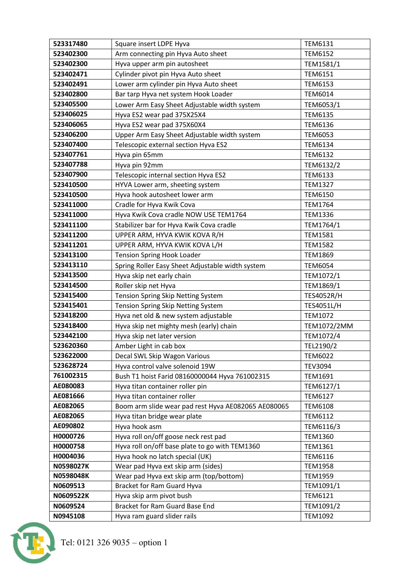| 523317480 | Square insert LDPE Hyva                             | TEM6131           |
|-----------|-----------------------------------------------------|-------------------|
| 523402300 | Arm connecting pin Hyva Auto sheet                  | <b>TEM6152</b>    |
| 523402300 | Hyva upper arm pin autosheet                        | TEM1581/1         |
| 523402471 | Cylinder pivot pin Hyva Auto sheet                  | <b>TEM6151</b>    |
| 523402491 | Lower arm cylinder pin Hyva Auto sheet              | <b>TEM6153</b>    |
| 523402800 | Bar tarp Hyva net system Hook Loader                | <b>TEM6014</b>    |
| 523405500 | Lower Arm Easy Sheet Adjustable width system        | TEM6053/1         |
| 523406025 | Hyva ES2 wear pad 375X25X4                          | <b>TEM6135</b>    |
| 523406065 | Hyva ES2 wear pad 375X60X4                          | <b>TEM6136</b>    |
| 523406200 | Upper Arm Easy Sheet Adjustable width system        | <b>TEM6053</b>    |
| 523407400 | Telescopic external section Hyva ES2                | <b>TEM6134</b>    |
| 523407761 | Hyva pin 65mm                                       | <b>TEM6132</b>    |
| 523407788 | Hyva pin 92mm                                       | TEM6132/2         |
| 523407900 | Telescopic internal section Hyva ES2                | <b>TEM6133</b>    |
| 523410500 | HYVA Lower arm, sheeting system                     | <b>TEM1327</b>    |
| 523410500 | Hyva hook autosheet lower arm                       | <b>TEM6150</b>    |
| 523411000 | Cradle for Hyva Kwik Cova                           | <b>TEM1764</b>    |
| 523411000 | Hyva Kwik Cova cradle NOW USE TEM1764               | <b>TEM1336</b>    |
| 523411100 | Stabilizer bar for Hyva Kwik Cova cradle            | TEM1764/1         |
| 523411200 | UPPER ARM, HYVA KWIK KOVA R/H                       | <b>TEM1581</b>    |
| 523411201 | UPPER ARM, HYVA KWIK KOVA L/H                       | <b>TEM1582</b>    |
| 523413100 | <b>Tension Spring Hook Loader</b>                   | <b>TEM1869</b>    |
| 523413110 | Spring Roller Easy Sheet Adjustable width system    | <b>TEM6054</b>    |
| 523413500 | Hyva skip net early chain                           | TEM1072/1         |
| 523414500 | Roller skip net Hyva                                | TEM1869/1         |
| 523415400 | Tension Spring Skip Netting System                  | <b>TES4052R/H</b> |
| 523415401 | Tension Spring Skip Netting System                  | TES4051L/H        |
| 523418200 | Hyva net old & new system adjustable                | TEM1072           |
| 523418400 | Hyva skip net mighty mesh (early) chain             | TEM1072/2MM       |
| 523442100 | Hyva skip net later version                         | TEM1072/4         |
| 523620360 | Amber Light in cab box                              | TEL2190/2         |
| 523622000 | Decal SWL Skip Wagon Various                        | <b>TEM6022</b>    |
| 523628724 | Hyva control valve solenoid 19W                     | <b>TEV3094</b>    |
| 761002315 | Bush T1 hoist Farid 08160000044 Hyva 761002315      | TEM1691           |
| AE080083  | Hyva titan container roller pin                     | TEM6127/1         |
| AE081666  | Hyva titan container roller                         | <b>TEM6127</b>    |
| AE082065  | Boom arm slide wear pad rest Hyva AE082065 AE080065 | <b>TEM6108</b>    |
| AE082065  | Hyva titan bridge wear plate                        | <b>TEM6112</b>    |
| AE090802  | Hyva hook asm                                       | TEM6116/3         |
| H0000726  | Hyva roll on/off goose neck rest pad                | <b>TEM1360</b>    |
| H0000758  | Hyva roll on/off base plate to go with TEM1360      | <b>TEM1361</b>    |
| H0004036  | Hyva hook no latch special (UK)                     | <b>TEM6116</b>    |
| N0598027K | Wear pad Hyva ext skip arm (sides)                  | <b>TEM1958</b>    |
| N0598048K | Wear pad Hyva ext skip arm (top/bottom)             | <b>TEM1959</b>    |
| N0609513  | Bracket for Ram Guard Hyva                          | TEM1091/1         |
| N0609522K | Hyva skip arm pivot bush                            | <b>TEM6121</b>    |
| N0609524  | Bracket for Ram Guard Base End                      | TEM1091/2         |
| N0945108  | Hyva ram guard slider rails                         | TEM1092           |

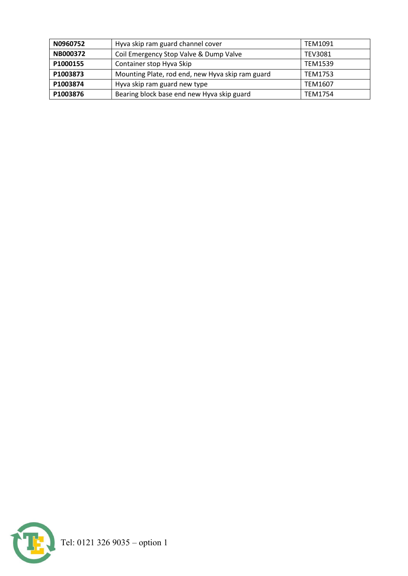| N0960752        | Hyva skip ram guard channel cover                | TEM1091        |
|-----------------|--------------------------------------------------|----------------|
| <b>NB000372</b> | Coil Emergency Stop Valve & Dump Valve           | <b>TEV3081</b> |
| P1000155        | Container stop Hyva Skip                         | <b>TEM1539</b> |
| P1003873        | Mounting Plate, rod end, new Hyva skip ram guard | <b>TEM1753</b> |
| P1003874        | Hyva skip ram guard new type                     | TEM1607        |
| P1003876        | Bearing block base end new Hyva skip guard       | TEM1754        |

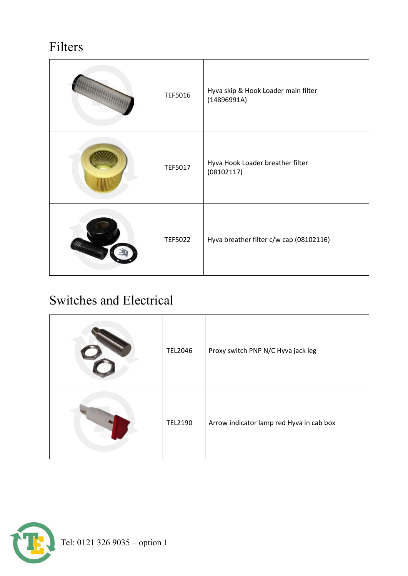#### Filters

|         | TEF5016        | Hyva skip & Hook Loader main filter<br>(14896991A) |
|---------|----------------|----------------------------------------------------|
|         | TEF5017        | Hyva Hook Loader breather filter<br>(08102117)     |
| William | <b>TEF5022</b> | Hyva breather filter c/w cap (08102116)            |

#### Switches and Electrical

| <b>TEL2046</b> | Proxy switch PNP N/C Hyva jack leg       |
|----------------|------------------------------------------|
| <b>TEL2190</b> | Arrow indicator lamp red Hyva in cab box |

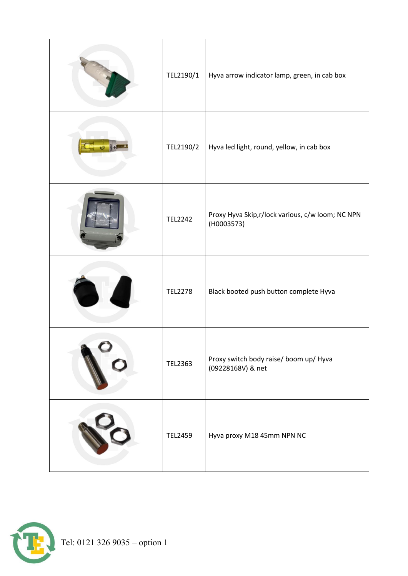| TEL2190/1      | Hyva arrow indicator lamp, green, in cab box                    |
|----------------|-----------------------------------------------------------------|
| TEL2190/2      | Hyva led light, round, yellow, in cab box                       |
| <b>TEL2242</b> | Proxy Hyva Skip, r/lock various, c/w loom; NC NPN<br>(H0003573) |
| <b>TEL2278</b> | Black booted push button complete Hyva                          |
| TEL2363        | Proxy switch body raise/ boom up/ Hyva<br>(09228168V) & net     |
| <b>TEL2459</b> | Hyva proxy M18 45mm NPN NC                                      |

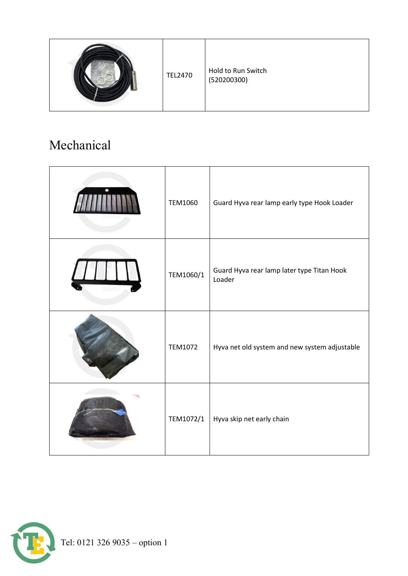|  | <b>TEL2470</b> | Hold to Run Switch<br>(520200300) |
|--|----------------|-----------------------------------|
|--|----------------|-----------------------------------|

#### Mechanical

| <b>TEM1060</b> | Guard Hyva rear lamp early type Hook Loader          |
|----------------|------------------------------------------------------|
| TEM1060/1      | Guard Hyva rear lamp later type Titan Hook<br>Loader |
| TEM1072        | Hyva net old system and new system adjustable        |
| TEM1072/1      | Hyva skip net early chain                            |

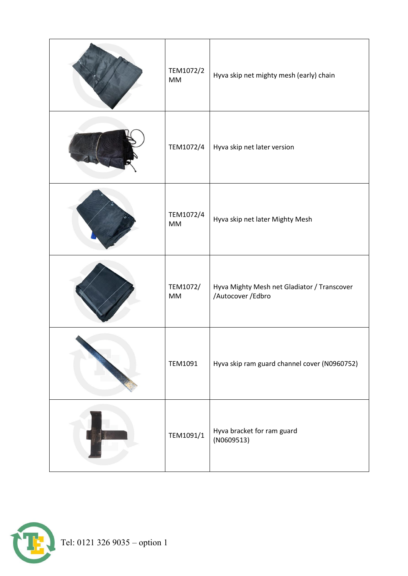| TEM1072/2<br><b>MM</b> | Hyva skip net mighty mesh (early) chain                           |
|------------------------|-------------------------------------------------------------------|
| TEM1072/4              | Hyva skip net later version                                       |
| TEM1072/4<br>MM        | Hyva skip net later Mighty Mesh                                   |
| TEM1072/<br><b>MM</b>  | Hyva Mighty Mesh net Gladiator / Transcover<br>/Autocover / Edbro |
| TEM1091                | Hyva skip ram guard channel cover (N0960752)                      |
| TEM1091/1              | Hyva bracket for ram guard<br>(NO609513)                          |

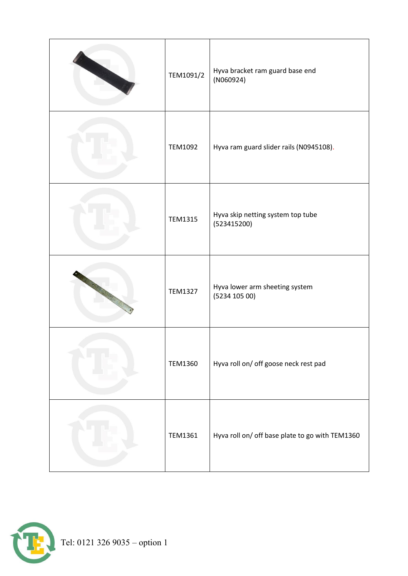| TEM1091/2      | Hyva bracket ram guard base end<br>(NO60924)     |
|----------------|--------------------------------------------------|
| <b>TEM1092</b> | Hyva ram guard slider rails (N0945108).          |
| <b>TEM1315</b> | Hyva skip netting system top tube<br>(523415200) |
| <b>TEM1327</b> | Hyva lower arm sheeting system<br>(5234 105 00)  |
| <b>TEM1360</b> | Hyva roll on/ off goose neck rest pad            |
| <b>TEM1361</b> | Hyva roll on/ off base plate to go with TEM1360  |

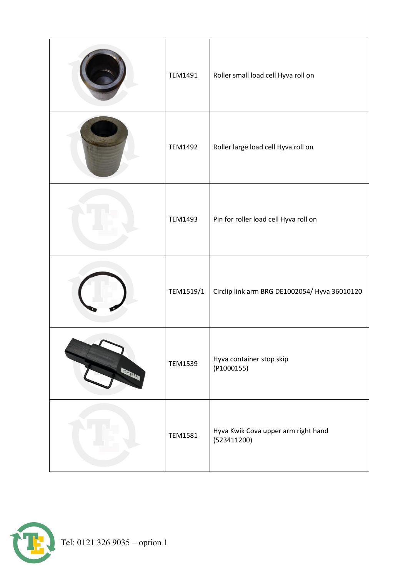|         | TEM1491        | Roller small load cell Hyva roll on                |
|---------|----------------|----------------------------------------------------|
|         | <b>TEM1492</b> | Roller large load cell Hyva roll on                |
|         | TEM1493        | Pin for roller load cell Hyva roll on              |
|         | TEM1519/1      | Circlip link arm BRG DE1002054/ Hyva 36010120      |
| TEN BUT | <b>TEM1539</b> | Hyva container stop skip<br>(P1000155)             |
|         | <b>TEM1581</b> | Hyva Kwik Cova upper arm right hand<br>(523411200) |

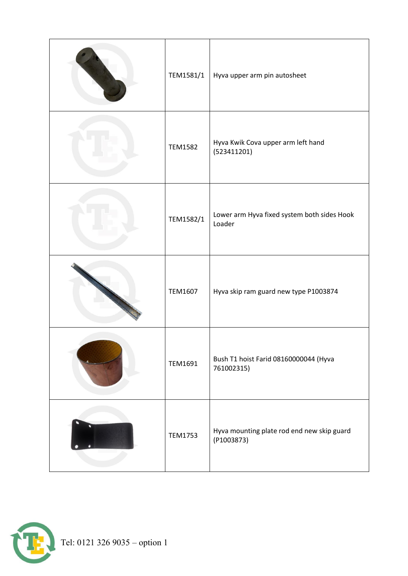| TEM1581/1      | Hyva upper arm pin autosheet                             |
|----------------|----------------------------------------------------------|
| <b>TEM1582</b> | Hyva Kwik Cova upper arm left hand<br>(523411201)        |
| TEM1582/1      | Lower arm Hyva fixed system both sides Hook<br>Loader    |
| TEM1607        | Hyva skip ram guard new type P1003874                    |
| <b>TEM1691</b> | Bush T1 hoist Farid 08160000044 (Hyva<br>761002315)      |
| <b>TEM1753</b> | Hyva mounting plate rod end new skip guard<br>(P1003873) |

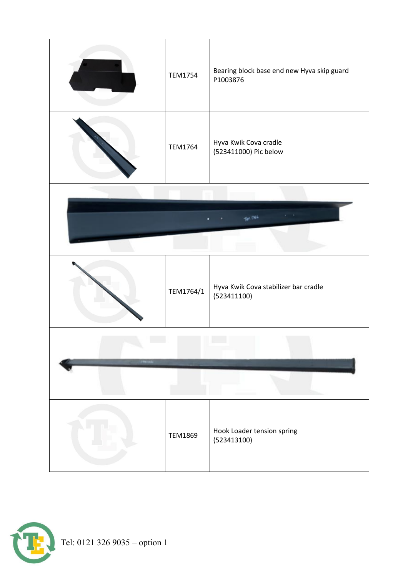

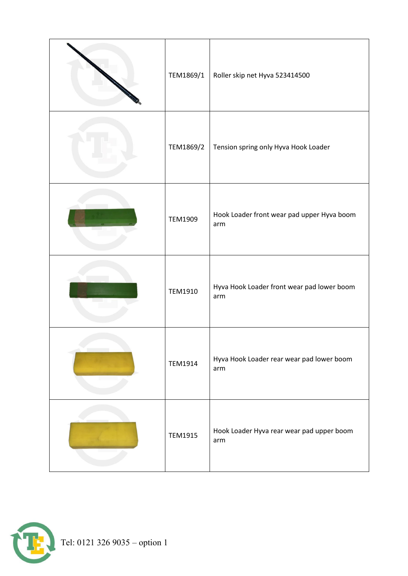| TEM1869/1      | Roller skip net Hyva 523414500                    |
|----------------|---------------------------------------------------|
| TEM1869/2      | Tension spring only Hyva Hook Loader              |
| <b>TEM1909</b> | Hook Loader front wear pad upper Hyva boom<br>arm |
| <b>TEM1910</b> | Hyva Hook Loader front wear pad lower boom<br>arm |
| <b>TEM1914</b> | Hyva Hook Loader rear wear pad lower boom<br>arm  |
| <b>TEM1915</b> | Hook Loader Hyva rear wear pad upper boom<br>arm  |

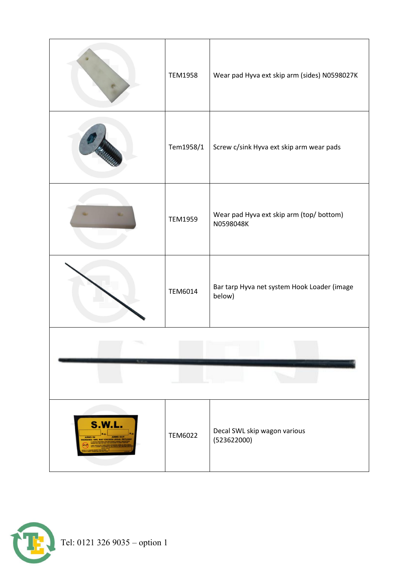|                                                                        | <b>TEM1958</b> | Wear pad Hyva ext skip arm (sides) N0598027K          |
|------------------------------------------------------------------------|----------------|-------------------------------------------------------|
|                                                                        | Tem1958/1      | Screw c/sink Hyva ext skip arm wear pads              |
|                                                                        | <b>TEM1959</b> | Wear pad Hyva ext skip arm (top/ bottom)<br>N0598048K |
|                                                                        | <b>TEM6014</b> | Bar tarp Hyva net system Hook Loader (image<br>below) |
|                                                                        |                |                                                       |
|                                                                        |                |                                                       |
| <b>S.W.L.</b><br><b>ARMS OUT</b><br><b>ARMS IN</b><br>ED LEGAL PAYLOAD | <b>TEM6022</b> | Decal SWL skip wagon various<br>(523622000)           |

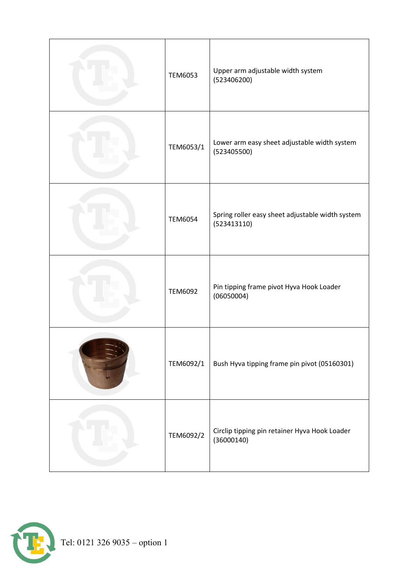| TEM6053        | Upper arm adjustable width system<br>(523406200)                |
|----------------|-----------------------------------------------------------------|
| TEM6053/1      | Lower arm easy sheet adjustable width system<br>(523405500)     |
| <b>TEM6054</b> | Spring roller easy sheet adjustable width system<br>(523413110) |
| TEM6092        | Pin tipping frame pivot Hyva Hook Loader<br>(06050004)          |
| TEM6092/1      | Bush Hyva tipping frame pin pivot (05160301)                    |
| TEM6092/2      | Circlip tipping pin retainer Hyva Hook Loader<br>(36000140)     |

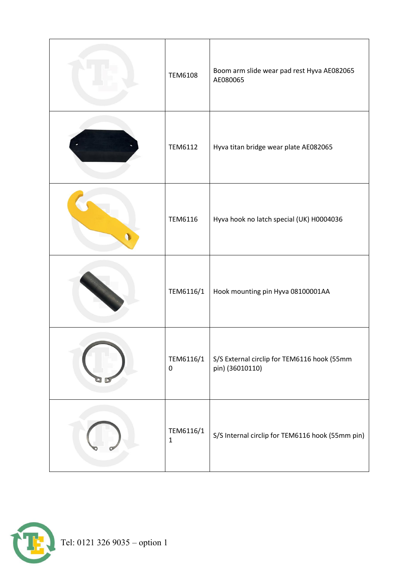| <b>TEM6108</b>            | Boom arm slide wear pad rest Hyva AE082065<br>AE080065         |
|---------------------------|----------------------------------------------------------------|
| <b>TEM6112</b>            | Hyva titan bridge wear plate AE082065                          |
| <b>TEM6116</b>            | Hyva hook no latch special (UK) H0004036                       |
| TEM6116/1                 | Hook mounting pin Hyva 08100001AA                              |
| TEM6116/1<br>$\pmb{0}$    | S/S External circlip for TEM6116 hook (55mm<br>pin) (36010110) |
| TEM6116/1<br>$\mathbf{1}$ | S/S Internal circlip for TEM6116 hook (55mm pin)               |

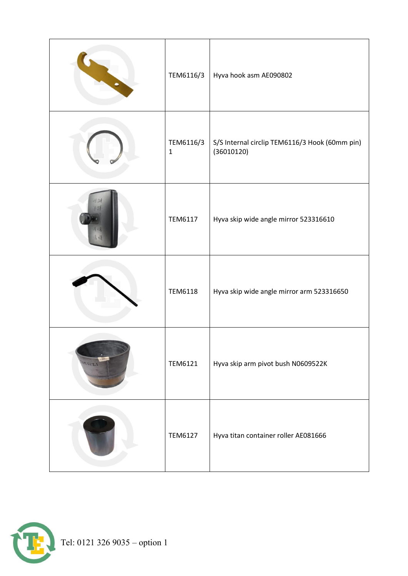| TEM6116/3                | Hyva hook asm AE090802                                       |
|--------------------------|--------------------------------------------------------------|
| TEM6116/3<br>$\mathbf 1$ | S/S Internal circlip TEM6116/3 Hook (60mm pin)<br>(36010120) |
| <b>TEM6117</b>           | Hyva skip wide angle mirror 523316610                        |
| <b>TEM6118</b>           | Hyva skip wide angle mirror arm 523316650                    |
| <b>TEM6121</b>           | Hyva skip arm pivot bush N0609522K                           |
| <b>TEM6127</b>           | Hyva titan container roller AE081666                         |

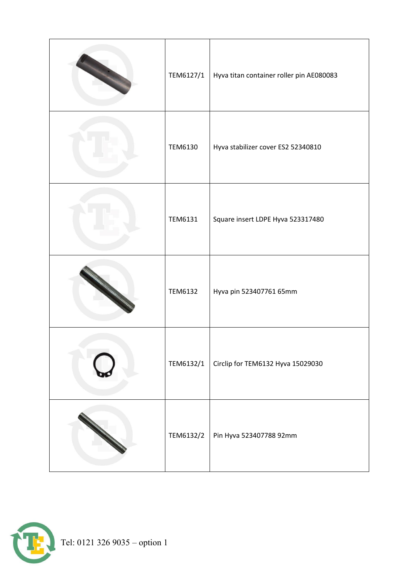| TEM6127/1      | Hyva titan container roller pin AE080083 |
|----------------|------------------------------------------|
| <b>TEM6130</b> | Hyva stabilizer cover ES2 52340810       |
| <b>TEM6131</b> | Square insert LDPE Hyva 523317480        |
| <b>TEM6132</b> | Hyva pin 523407761 65mm                  |
| TEM6132/1      | Circlip for TEM6132 Hyva 15029030        |
| TEM6132/2      | Pin Hyva 523407788 92mm                  |

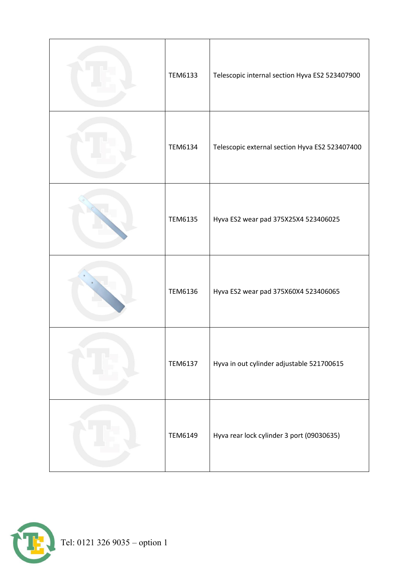| TEM6133        | Telescopic internal section Hyva ES2 523407900 |
|----------------|------------------------------------------------|
| <b>TEM6134</b> | Telescopic external section Hyva ES2 523407400 |
| <b>TEM6135</b> | Hyva ES2 wear pad 375X25X4 523406025           |
| TEM6136        | Hyva ES2 wear pad 375X60X4 523406065           |
| <b>TEM6137</b> | Hyva in out cylinder adjustable 521700615      |
| <b>TEM6149</b> | Hyva rear lock cylinder 3 port (09030635)      |

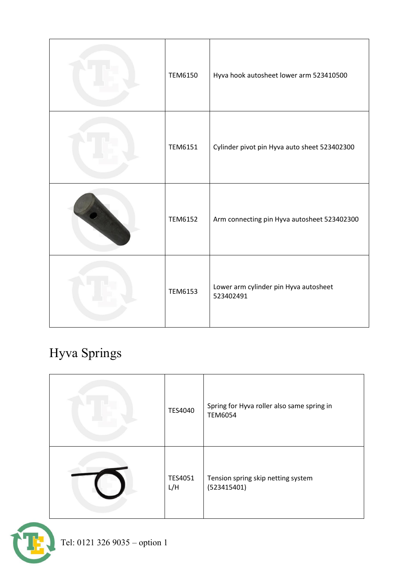| <b>TEM6150</b> | Hyva hook autosheet lower arm 523410500            |
|----------------|----------------------------------------------------|
| <b>TEM6151</b> | Cylinder pivot pin Hyva auto sheet 523402300       |
| <b>TEM6152</b> | Arm connecting pin Hyva autosheet 523402300        |
| <b>TEM6153</b> | Lower arm cylinder pin Hyva autosheet<br>523402491 |

### Hyva Springs

| TES4040        | Spring for Hyva roller also same spring in<br><b>TEM6054</b> |
|----------------|--------------------------------------------------------------|
| TES4051<br>L/H | Tension spring skip netting system<br>(523415401)            |

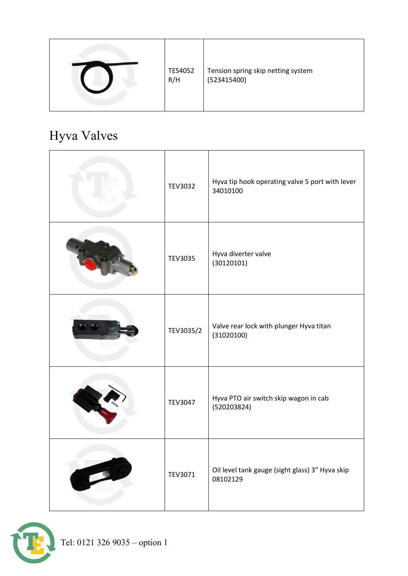|  | <b>TES4052</b><br>R/H | Tension spring skip netting system<br>(523415400) |
|--|-----------------------|---------------------------------------------------|
|--|-----------------------|---------------------------------------------------|

# Hyva Valves

| <b>TEV3032</b> | Hyva tip hook operating valve 5 port with lever<br>34010100 |
|----------------|-------------------------------------------------------------|
| <b>TEV3035</b> | Hyva diverter valve<br>(30120101)                           |
| TEV3035/2      | Valve rear lock with plunger Hyva titan<br>(31020100)       |
| <b>TEV3047</b> | Hyva PTO air switch skip wagon in cab<br>(520203824)        |
| TEV3071        | Oil level tank gauge (sight glass) 3" Hyva skip<br>08102129 |